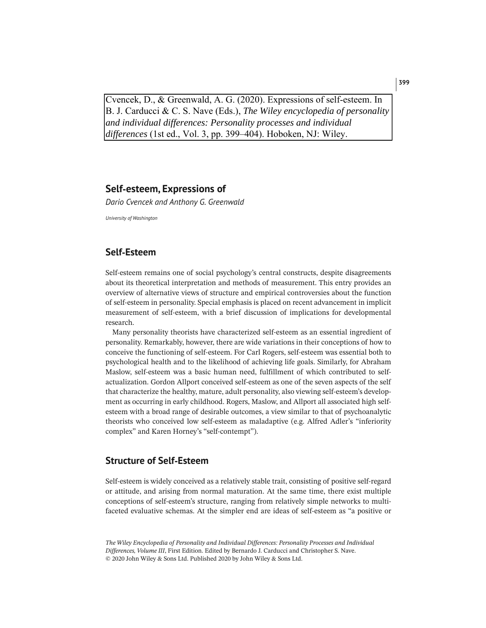Cvencek, D., & Greenwald, A. G. (2020). Expressions of self-esteem. In B. J. Carducci & C. S. Nave (Eds.), *The Wiley encyclopedia of personality and individual differences: Personality processes and individual differences* (1st ed., Vol. 3, pp. 399–404). Hoboken, NJ: Wiley.

# **Self-esteem, Expressions of**

*Dario Cvencek and Anthony G. Greenwald*

*University of Washington*

# **Self-Esteem**

Self‐esteem remains one of social psychology's central constructs, despite disagreements about its theoretical interpretation and methods of measurement. This entry provides an overview of alternative views of structure and empirical controversies about the function of self‐esteem in personality. Special emphasis is placed on recent advancement in implicit measurement of self‐esteem, with a brief discussion of implications for developmental research.

Many personality theorists have characterized self‐esteem as an essential ingredient of personality. Remarkably, however, there are wide variations in their conceptions of how to conceive the functioning of self‐esteem. For Carl Rogers, self‐esteem was essential both to psychological health and to the likelihood of achieving life goals. Similarly, for Abraham Maslow, self‐esteem was a basic human need, fulfillment of which contributed to self‐ actualization. Gordon Allport conceived self‐esteem as one of the seven aspects of the self that characterize the healthy, mature, adult personality, also viewing self‐esteem's development as occurring in early childhood. Rogers, Maslow, and Allport all associated high selfesteem with a broad range of desirable outcomes, a view similar to that of psychoanalytic theorists who conceived low self‐esteem as maladaptive (e.g. Alfred Adler's "inferiority complex" and Karen Horney's "self‐contempt").

### **Structure of Self-Esteem**

Self-esteem is widely conceived as a relatively stable trait, consisting of positive self-regard or attitude, and arising from normal maturation. At the same time, there exist multiple conceptions of self-esteem's structure, ranging from relatively simple networks to multifaceted evaluative schemas. At the simpler end are ideas of self‐esteem as "a positive or

*The Wiley Encyclopedia of Personality and Individual Differences: Personality Processes and Individual Differences, Volume III*, First Edition. Edited by Bernardo J. Carducci and Christopher S. Nave. © 2020 John Wiley & Sons Ltd. Published 2020 by John Wiley & Sons Ltd.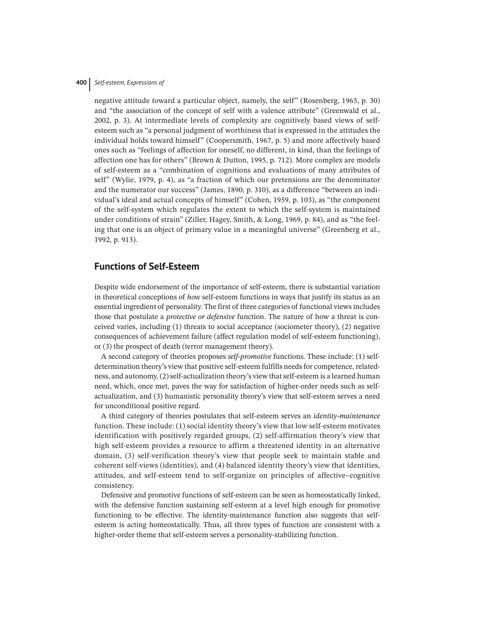#### **400** *Self-esteem, Expressions of*

negative attitude toward a particular object, namely, the self" (Rosenberg, 1965, p. 30) and "the association of the concept of self with a valence attribute" (Greenwald et al., 2002, p. 3). At intermediate levels of complexity are cognitively based views of self‐ esteem such as "a personal judgment of worthiness that is expressed in the attitudes the individual holds toward himself" (Coopersmith, 1967, p. 5) and more affectively based ones such as "feelings of affection for oneself, no different, in kind, than the feelings of affection one has for others" (Brown & Dutton, 1995, p. 712). More complex are models of self‐esteem as a "combination of cognitions and evaluations of many attributes of self" (Wylie, 1979, p. 4), as "a fraction of which our pretensions are the denominator and the numerator our success" (James, 1890, p. 310), as a difference "between an individual's ideal and actual concepts of himself" (Cohen, 1959, p. 103), as "the component of the self‐system which regulates the extent to which the self‐system is maintained under conditions of strain" (Ziller, Hagey, Smith, & Long, 1969, p. 84), and as "the feeling that one is an object of primary value in a meaningful universe" (Greenberg et al., 1992, p. 913).

# **Functions of Self-Esteem**

Despite wide endorsement of the importance of self‐esteem, there is substantial variation in theoretical conceptions of *how* self‐esteem functions in ways that justify its status as an essential ingredient of personality. The first of three categories of functional views includes those that postulate a *protective or defensive* function. The nature of how a threat is conceived varies, including (1) threats to social acceptance (sociometer theory), (2) negative consequences of achievement failure (affect regulation model of self‐esteem functioning), or (3) the prospect of death (terror management theory).

A second category of theories proposes *self‐promotive* functions. These include: (1) self‐ determination theory's view that positive self‐esteem fulfills needs for competence, relatedness, and autonomy, (2) self‐actualization theory's view that self‐esteem is a learned human need, which, once met, paves the way for satisfaction of higher-order needs such as selfactualization, and (3) humanistic personality theory's view that self‐esteem serves a need for unconditional positive regard.

A third category of theories postulates that self‐esteem serves an *identity‐maintenance* function. These include: (1) social identity theory's view that low self-esteem motivates identification with positively regarded groups, (2) self‐affirmation theory's view that high self-esteem provides a resource to affirm a threatened identity in an alternative domain, (3) self‐verification theory's view that people seek to maintain stable and coherent self-views (identities), and (4) balanced identity theory's view that identities, attitudes, and self‐esteem tend to self‐organize on principles of affective–cognitive consistency.

Defensive and promotive functions of self‐esteem can be seen as homeostatically linked, with the defensive function sustaining self-esteem at a level high enough for promotive functioning to be effective. The identity-maintenance function also suggests that selfesteem is acting homeostatically. Thus, all three types of function are consistent with a higher-order theme that self-esteem serves a personality-stabilizing function.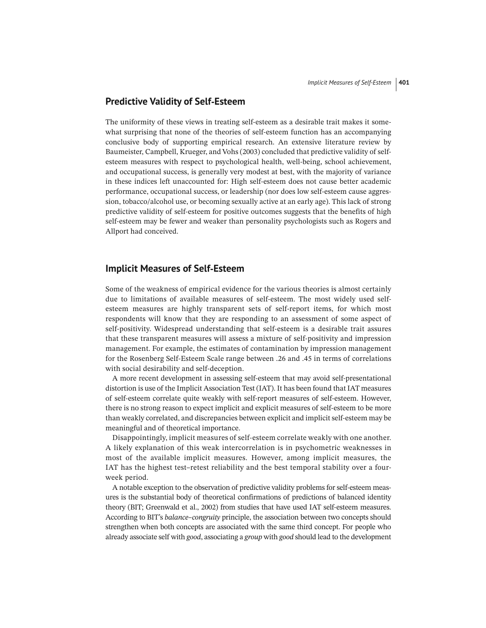# **Predictive Validity of Self-Esteem**

The uniformity of these views in treating self-esteem as a desirable trait makes it somewhat surprising that none of the theories of self-esteem function has an accompanying conclusive body of supporting empirical research. An extensive literature review by Baumeister, Campbell, Krueger, and Vohs (2003) concluded that predictive validity of self‐ esteem measures with respect to psychological health, well-being, school achievement, and occupational success, is generally very modest at best, with the majority of variance in these indices left unaccounted for: High self‐esteem does not cause better academic performance, occupational success, or leadership (nor does low self‐esteem cause aggression, tobacco/alcohol use, or becoming sexually active at an early age). This lack of strong predictive validity of self‐esteem for positive outcomes suggests that the benefits of high self‐esteem may be fewer and weaker than personality psychologists such as Rogers and Allport had conceived.

### **Implicit Measures of Self-Esteem**

Some of the weakness of empirical evidence for the various theories is almost certainly due to limitations of available measures of self‐esteem. The most widely used self‐ esteem measures are highly transparent sets of self‐report items, for which most respondents will know that they are responding to an assessment of some aspect of self‐positivity. Widespread understanding that self‐esteem is a desirable trait assures that these transparent measures will assess a mixture of self‐positivity and impression management. For example, the estimates of contamination by impression management for the Rosenberg Self‐Esteem Scale range between .26 and .45 in terms of correlations with social desirability and self-deception.

A more recent development in assessing self‐esteem that may avoid self‐presentational distortion is use of the Implicit Association Test (IAT). It has been found that IAT measures of self‐esteem correlate quite weakly with self‐report measures of self‐esteem. However, there is no strong reason to expect implicit and explicit measures of self‐esteem to be more than weakly correlated, and discrepancies between explicit and implicit self‐esteem may be meaningful and of theoretical importance.

Disappointingly, implicit measures of self‐esteem correlate weakly with one another. A likely explanation of this weak intercorrelation is in psychometric weaknesses in most of the available implicit measures. However, among implicit measures, the IAT has the highest test–retest reliability and the best temporal stability over a four‐ week period.

A notable exception to the observation of predictive validity problems for self‐esteem measures is the substantial body of theoretical confirmations of predictions of balanced identity theory (BIT; Greenwald et al., 2002) from studies that have used IAT self‐esteem measures. According to BIT's *balance–congruity* principle, the association between two concepts should strengthen when both concepts are associated with the same third concept. For people who already associate self with *good*, associating a *group* with *good* should lead to the development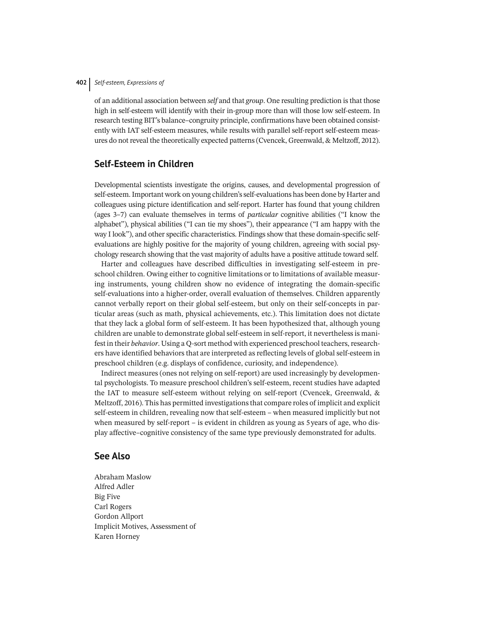# **402** *Self-esteem, Expressions of*

of an additional association between *self* and that *group*. One resulting prediction is that those high in self-esteem will identify with their in-group more than will those low self-esteem. In research testing BIT's balance–congruity principle, confirmations have been obtained consistently with IAT self‐esteem measures, while results with parallel self‐report self‐esteem measures do not reveal the theoretically expected patterns (Cvencek, Greenwald, & Meltzoff, 2012).

# **Self-Esteem in Children**

Developmental scientists investigate the origins, causes, and developmental progression of self‐esteem. Important work on young children's self‐evaluations has been done by Harter and colleagues using picture identification and self‐report. Harter has found that young children (ages 3–7) can evaluate themselves in terms of *particular* cognitive abilities ("I know the alphabet"), physical abilities ("I can tie my shoes"), their appearance ("I am happy with the way I look"), and other specific characteristics. Findings show that these domain-specific selfevaluations are highly positive for the majority of young children, agreeing with social psychology research showing that the vast majority of adults have a positive attitude toward self.

Harter and colleagues have described difficulties in investigating self‐esteem in preschool children. Owing either to cognitive limitations or to limitations of available measuring instruments, young children show no evidence of integrating the domain‐specific self‐evaluations into a higher‐order, overall evaluation of themselves. Children apparently cannot verbally report on their global self‐esteem, but only on their self‐concepts in particular areas (such as math, physical achievements, etc.). This limitation does not dictate that they lack a global form of self‐esteem. It has been hypothesized that, although young children are unable to demonstrate global self‐esteem in self‐report, it nevertheless is manifest in their *behavior*. Using a Q-sort method with experienced preschool teachers, researchers have identified behaviors that are interpreted as reflecting levels of global self‐esteem in preschool children (e.g. displays of confidence, curiosity, and independence).

Indirect measures (ones not relying on self‐report) are used increasingly by developmental psychologists. To measure preschool children's self‐esteem, recent studies have adapted the IAT to measure self-esteem without relying on self-report (Cvencek, Greenwald, & Meltzoff, 2016). This has permitted investigations that compare roles of implicit and explicit self‐esteem in children, revealing now that self‐esteem – when measured implicitly but not when measured by self-report – is evident in children as young as 5 years of age, who display affective–cognitive consistency of the same type previously demonstrated for adults.

# **See Also**

Abraham Maslow Alfred Adler Big Five Carl Rogers Gordon Allport Implicit Motives, Assessment of Karen Horney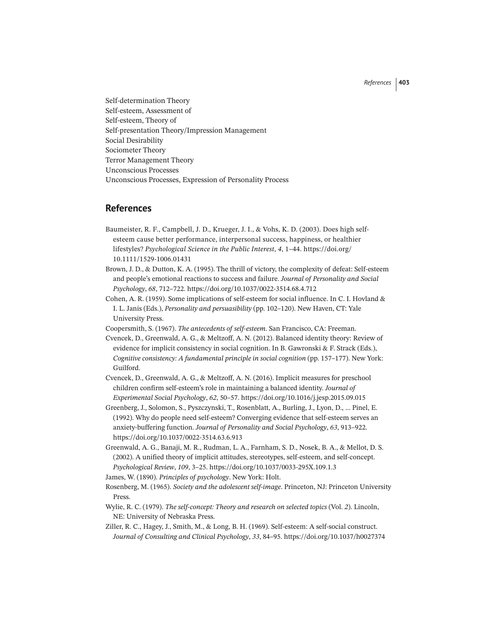*References* **403**

Self‐determination Theory Self‐esteem, Assessment of Self‐esteem, Theory of Self‐presentation Theory/Impression Management Social Desirability Sociometer Theory Terror Management Theory Unconscious Processes Unconscious Processes, Expression of Personality Process

# **References**

- Baumeister, R. F., Campbell, J. D., Krueger, J. I., & Vohs, K. D. (2003). Does high self‐ esteem cause better performance, interpersonal success, happiness, or healthier lifestyles? *Psychological Science in the Public Interest*, *4*, 1–44. https://doi.org/ 10.1111/1529‐1006.01431
- Brown, J. D., & Dutton, K. A. (1995). The thrill of victory, the complexity of defeat: Self‐esteem and people's emotional reactions to success and failure. *Journal of Personality and Social Psychology*, *68*, 712–722. https://doi.org/10.1037/0022‐3514.68.4.712
- Cohen, A. R. (1959). Some implications of self‐esteem for social influence. In C. I. Hovland & I. L. Janis (Eds.), *Personality and persuasibility* (pp. 102–120). New Haven, CT: Yale University Press.
- Coopersmith, S. (1967). *The antecedents of self‐esteem*. San Francisco, CA: Freeman.
- Cvencek, D., Greenwald, A. G., & Meltzoff, A. N. (2012). Balanced identity theory: Review of evidence for implicit consistency in social cognition. In B. Gawronski & F. Strack (Eds.), *Cognitive consistency: A fundamental principle in social cognition* (pp. 157–177). New York: Guilford.
- Cvencek, D., Greenwald, A. G., & Meltzoff, A. N. (2016). Implicit measures for preschool children confirm self‐esteem's role in maintaining a balanced identity. *Journal of Experimental Social Psychology*, *62*, 50–57. https://doi.org/10.1016/j.jesp.2015.09.015
- Greenberg, J., Solomon, S., Pyszczynski, T., Rosenblatt, A., Burling, J., Lyon, D., … Pinel, E. (1992). Why do people need self‐esteem? Converging evidence that self‐esteem serves an anxiety‐buffering function. *Journal of Personality and Social Psychology*, *63*, 913–922. https://doi.org/10.1037/0022‐3514.63.6.913
- Greenwald, A. G., Banaji, M. R., Rudman, L. A., Farnham, S. D., Nosek, B. A., & Mellot, D. S. (2002). A unified theory of implicit attitudes, stereotypes, self‐esteem, and self‐concept. *Psychological Review*, *109*, 3–25. https://doi.org/10.1037/0033‐295X.109.1.3
- James, W. (1890). *Principles of psychology*. New York: Holt.
- Rosenberg, M. (1965). *Society and the adolescent self‐image*. Princeton, NJ: Princeton University Press.
- Wylie, R. C. (1979). *The self‐concept: Theory and research on selected topics* (Vol. *2*). Lincoln, NE: University of Nebraska Press.
- Ziller, R. C., Hagey, J., Smith, M., & Long, B. H. (1969). Self‐esteem: A self‐social construct. *Journal of Consulting and Clinical Psychology*, *33*, 84–95. https://doi.org/10.1037/h0027374